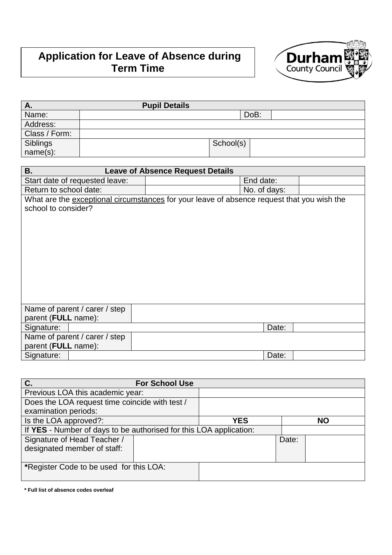# **Application for Leave of Absence during Term Time**



| А.            | <b>Pupil Details</b> |           |      |  |
|---------------|----------------------|-----------|------|--|
| Name:         |                      |           | DoB: |  |
| Address:      |                      |           |      |  |
| Class / Form: |                      |           |      |  |
| Siblings      |                      | School(s) |      |  |
| $name(s)$ :   |                      |           |      |  |

| <b>B.</b>                                                                                  | <b>Leave of Absence Request Details</b> |  |  |
|--------------------------------------------------------------------------------------------|-----------------------------------------|--|--|
| Start date of requested leave:                                                             | End date:                               |  |  |
| Return to school date:                                                                     | No. of days:                            |  |  |
| What are the exceptional circumstances for your leave of absence request that you wish the |                                         |  |  |
| school to consider?                                                                        |                                         |  |  |
|                                                                                            |                                         |  |  |
|                                                                                            |                                         |  |  |
|                                                                                            |                                         |  |  |
|                                                                                            |                                         |  |  |
|                                                                                            |                                         |  |  |
|                                                                                            |                                         |  |  |
|                                                                                            |                                         |  |  |
|                                                                                            |                                         |  |  |
|                                                                                            |                                         |  |  |
| Name of parent / carer / step                                                              |                                         |  |  |
| parent (FULL name):                                                                        |                                         |  |  |
| Signature:                                                                                 | Date:                                   |  |  |
| Name of parent / carer / step                                                              |                                         |  |  |
| parent (FULL name):                                                                        |                                         |  |  |
| Signature:                                                                                 | Date:                                   |  |  |

| C.<br><b>For School Use</b>                                        |  |            |       |           |
|--------------------------------------------------------------------|--|------------|-------|-----------|
| Previous LOA this academic year:                                   |  |            |       |           |
| Does the LOA request time coincide with test /                     |  |            |       |           |
| examination periods:                                               |  |            |       |           |
| Is the LOA approved?:                                              |  | <b>YES</b> |       | <b>NO</b> |
| If YES - Number of days to be authorised for this LOA application: |  |            |       |           |
| Signature of Head Teacher /                                        |  |            | Date: |           |
| designated member of staff:                                        |  |            |       |           |
|                                                                    |  |            |       |           |
| *Register Code to be used for this LOA:                            |  |            |       |           |
|                                                                    |  |            |       |           |

**<sup>\*</sup> Full list of absence codes overleaf**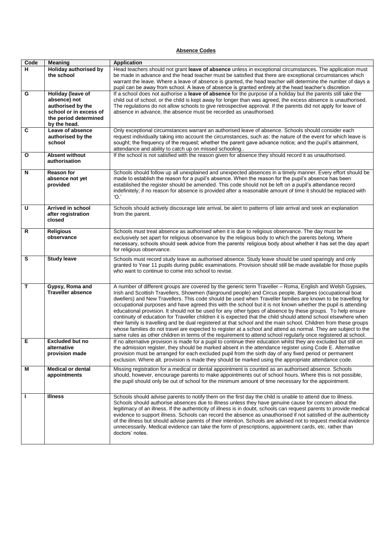#### **Absence Codes**

| Code                    | Meaning                                                                                                                          | <b>Application</b>                                                                                                                                                                                                                                                                                                                                                                                                                                                                                                                                                                                                                                                                                                                                                                                                                                                                                                                                                                                                                                  |
|-------------------------|----------------------------------------------------------------------------------------------------------------------------------|-----------------------------------------------------------------------------------------------------------------------------------------------------------------------------------------------------------------------------------------------------------------------------------------------------------------------------------------------------------------------------------------------------------------------------------------------------------------------------------------------------------------------------------------------------------------------------------------------------------------------------------------------------------------------------------------------------------------------------------------------------------------------------------------------------------------------------------------------------------------------------------------------------------------------------------------------------------------------------------------------------------------------------------------------------|
| н                       | <b>Holiday authorised by</b><br>the school                                                                                       | Head teachers should not grant leave of absence unless in exceptional circumstances. The application must<br>be made in advance and the head teacher must be satisfied that there are exceptional circumstances which<br>warrant the leave. Where a leave of absence is granted, the head teacher will determine the number of days a<br>pupil can be away from school. A leave of absence is granted entirely at the head teacher's discretion                                                                                                                                                                                                                                                                                                                                                                                                                                                                                                                                                                                                     |
| G                       | <b>Holiday (leave of</b><br>absence) not<br>authorised by the<br>school or in excess of<br>the period determined<br>by the head. | If a school does not authorise a leave of absence for the purpose of a holiday but the parents still take the<br>child out of school, or the child is kept away for longer than was agreed, the excess absence is unauthorised.<br>The regulations do not allow schools to give retrospective approval. If the parents did not apply for leave of<br>absence in advance, the absence must be recorded as unauthorised.                                                                                                                                                                                                                                                                                                                                                                                                                                                                                                                                                                                                                              |
| $\overline{c}$          | Leave of absence<br>authorised by the<br>school                                                                                  | Only exceptional circumstances warrant an authorised leave of absence. Schools should consider each<br>request individually taking into account the circumstances, such as: the nature of the event for which leave is<br>sought; the frequency of the request; whether the parent gave advance notice; and the pupil's attainment,<br>attendance and ability to catch up on missed schooling                                                                                                                                                                                                                                                                                                                                                                                                                                                                                                                                                                                                                                                       |
| O                       | <b>Absent without</b><br>authorisation                                                                                           | If the school is not satisfied with the reason given for absence they should record it as unauthorised.                                                                                                                                                                                                                                                                                                                                                                                                                                                                                                                                                                                                                                                                                                                                                                                                                                                                                                                                             |
| N                       | <b>Reason for</b><br>absence not yet<br>provided                                                                                 | Schools should follow up all unexplained and unexpected absences in a timely manner. Every effort should be<br>made to establish the reason for a pupil's absence. When the reason for the pupil's absence has been<br>established the register should be amended. This code should not be left on a pupil's attendance record<br>indefinitely; if no reason for absence is provided after a reasonable amount of time it should be replaced with<br>'O.'                                                                                                                                                                                                                                                                                                                                                                                                                                                                                                                                                                                           |
| $\overline{\mathsf{U}}$ | Arrived in school<br>after registration<br>closed                                                                                | Schools should actively discourage late arrival, be alert to patterns of late arrival and seek an explanation<br>from the parent.                                                                                                                                                                                                                                                                                                                                                                                                                                                                                                                                                                                                                                                                                                                                                                                                                                                                                                                   |
| R                       | <b>Religious</b><br>observance                                                                                                   | Schools must treat absence as authorised when it is due to religious observance. The day must be<br>exclusively set apart for religious observance by the religious body to which the parents belong. Where<br>necessary, schools should seek advice from the parents' religious body about whether it has set the day apart<br>for religious observance.                                                                                                                                                                                                                                                                                                                                                                                                                                                                                                                                                                                                                                                                                           |
| S                       | <b>Study leave</b>                                                                                                               | Schools must record study leave as authorised absence. Study leave should be used sparingly and only<br>granted to Year 11 pupils during public examinations. Provision should still be made available for those pupils<br>who want to continue to come into school to revise.                                                                                                                                                                                                                                                                                                                                                                                                                                                                                                                                                                                                                                                                                                                                                                      |
| т                       | Gypsy, Roma and<br><b>Traveller absence</b>                                                                                      | A number of different groups are covered by the generic term Traveller - Roma, English and Welsh Gypsies,<br>Irish and Scottish Travellers, Showmen (fairground people) and Circus people, Bargees (occupational boat<br>dwellers) and New Travellers. This code should be used when Traveller families are known to be travelling for<br>occupational purposes and have agreed this with the school but it is not known whether the pupil is attending<br>educational provision. It should not be used for any other types of absence by these groups. To help ensure<br>continuity of education for Traveller children it is expected that the child should attend school elsewhere when<br>their family is travelling and be dual registered at that school and the main school. Children from these groups<br>whose families do not travel are expected to register at a school and attend as normal. They are subject to the<br>same rules as other children in terms of the requirement to attend school regularly once registered at school. |
| Е                       | <b>Excluded but no</b><br>alternative<br>provision made                                                                          | If no alternative provision is made for a pupil to continue their education whilst they are excluded but still on<br>the admission register, they should be marked absent in the attendance register using Code E. Alternative<br>provision must be arranged for each excluded pupil from the sixth day of any fixed period or permanent<br>exclusion. Where alt. provision is made they should be marked using the appropriate attendance code.                                                                                                                                                                                                                                                                                                                                                                                                                                                                                                                                                                                                    |
| Μ                       | <b>Medical or dental</b><br>appointments                                                                                         | Missing registration for a medical or dental appointment is counted as an authorised absence. Schools<br>should, however, encourage parents to make appointments out of school hours. Where this is not possible,<br>the pupil should only be out of school for the minimum amount of time necessary for the appointment.                                                                                                                                                                                                                                                                                                                                                                                                                                                                                                                                                                                                                                                                                                                           |
| L                       | <b>Illness</b>                                                                                                                   | Schools should advise parents to notify them on the first day the child is unable to attend due to illness.<br>Schools should authorise absences due to illness unless they have genuine cause for concern about the<br>legitimacy of an illness. If the authenticity of illness is in doubt, schools can request parents to provide medical<br>evidence to support illness. Schools can record the absence as unauthorised if not satisfied of the authenticity<br>of the illness but should advise parents of their intention. Schools are advised not to request medical evidence<br>unnecessarily. Medical evidence can take the form of prescriptions, appointment cards, etc. rather than<br>doctors' notes.                                                                                                                                                                                                                                                                                                                                  |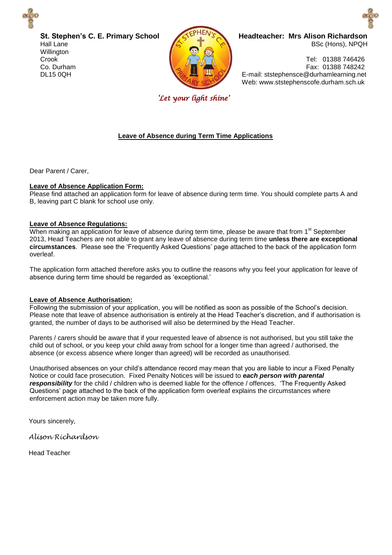

**St. Stephen's C. E. Primary School** Hall Lane **Willington** Crook Co. Durham DL15 0QH



**Headteacher: Mrs Alison Richardson**  BSc (Hons), NPQH

 Tel: 01388 746426 Fax: 01388 748242 E-mail: ststephensce@durhamlearning.net Web: www.ststephenscofe.durham.sch.uk

*'Let your light shine'* 

## **Leave of Absence during Term Time Applications**

Dear Parent / Carer,

## **Leave of Absence Application Form:**

Please find attached an application form for leave of absence during term time. You should complete parts A and B, leaving part C blank for school use only.

### **Leave of Absence Regulations:**

When making an application for leave of absence during term time, please be aware that from 1<sup>st</sup> September 2013, Head Teachers are not able to grant any leave of absence during term time **unless there are exceptional circumstances**. Please see the 'Frequently Asked Questions' page attached to the back of the application form overleaf.

The application form attached therefore asks you to outline the reasons why you feel your application for leave of absence during term time should be regarded as 'exceptional.'

## **Leave of Absence Authorisation:**

Following the submission of your application, you will be notified as soon as possible of the School's decision. Please note that leave of absence authorisation is entirely at the Head Teacher's discretion, and if authorisation is granted, the number of days to be authorised will also be determined by the Head Teacher.

Parents / carers should be aware that if your requested leave of absence is not authorised, but you still take the child out of school, or you keep your child away from school for a longer time than agreed / authorised, the absence (or excess absence where longer than agreed) will be recorded as unauthorised.

Unauthorised absences on your child's attendance record may mean that you are liable to incur a Fixed Penalty Notice or could face prosecution. Fixed Penalty Notices will be issued to *each person with parental responsibility* for the child / children who is deemed liable for the offence / offences. 'The Frequently Asked Questions' page attached to the back of the application form overleaf explains the circumstances where enforcement action may be taken more fully.

Yours sincerely,

*Alison Richardson* 

Head Teacher